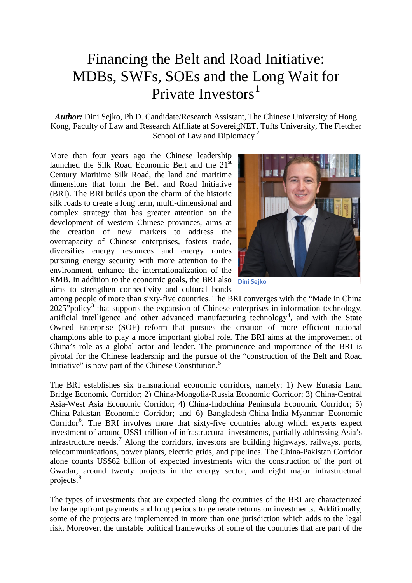## Financing the Belt and Road Initiative: MDBs, SWFs, SOEs and the Long Wait for Private Investors<sup>[1](#page-3-0)</sup>

*Author:* Dini Sejko, Ph.D. Candidate/Research Assistant, The Chinese University of Hong Kong, Faculty of Law and Research Affiliate at SovereigNET, Tufts University, The Fletcher School of Law and Diplomacy<sup>[2](#page-3-1)</sup>

More than four years ago the Chinese leadership launched the Silk Road Economic Belt and the 21<sup>st</sup> Century Maritime Silk Road, the land and maritime dimensions that form the Belt and Road Initiative (BRI). The BRI builds upon the charm of the historic silk roads to create a long term, multi-dimensional and complex strategy that has greater attention on the development of western Chinese provinces, aims at the creation of new markets to address the overcapacity of Chinese enterprises, fosters trade, diversifies energy resources and energy routes pursuing energy security with more attention to the environment, enhance the internationalization of the RMB. In addition to the economic goals, the BRI also **Dini Sejko** aims to strengthen connectivity and cultural bonds



among people of more than sixty-five countries. The BRI converges with the "Made in China  $2025$ "policy<sup>[3](#page-3-2)</sup> that supports the expansion of Chinese enterprises in information technology, artificial intelligence and other advanced manufacturing technology<sup>[4](#page-3-3)</sup>, and with the State Owned Enterprise (SOE) reform that pursues the creation of more efficient national champions able to play a more important global role. The BRI aims at the improvement of China's role as a global actor and leader. The prominence and importance of the BRI is pivotal for the Chinese leadership and the pursue of the "construction of the Belt and Road Initiative" is now part of the Chinese Constitution. $5$ 

The BRI establishes six transnational economic corridors, namely: 1) New Eurasia Land Bridge Economic Corridor; 2) China-Mongolia-Russia Economic Corridor; 3) China-Central Asia-West Asia Economic Corridor; 4) China-Indochina Peninsula Economic Corridor; 5) China-Pakistan Economic Corridor; and 6) Bangladesh-China-India-Myanmar Economic Corridor<sup>[6](#page-3-5)</sup>. The BRI involves more that sixty-five countries along which experts expect investment of around US\$1 trillion of infrastructural investments, partially addressing Asia's infrastructure needs.<sup>[7](#page-3-6)</sup> Along the corridors, investors are building highways, railways, ports, telecommunications, power plants, electric grids, and pipelines. The China-Pakistan Corridor alone counts US\$62 billion of expected investments with the construction of the port of Gwadar, around twenty projects in the energy sector, and eight major infrastructural projects.<sup>[8](#page-3-7)</sup>

The types of investments that are expected along the countries of the BRI are characterized by large upfront payments and long periods to generate returns on investments. Additionally, some of the projects are implemented in more than one jurisdiction which adds to the legal risk. Moreover, the unstable political frameworks of some of the countries that are part of the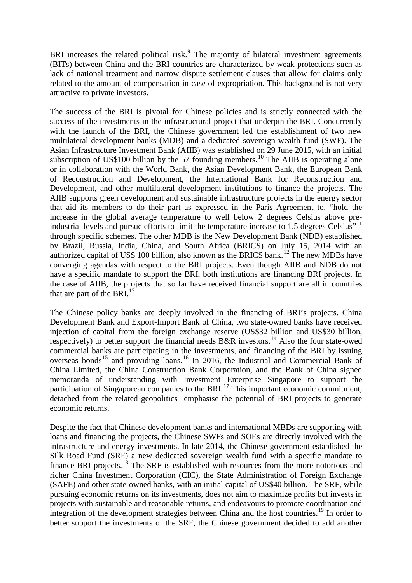BRI increases the related political risk.<sup>[9](#page-3-8)</sup> The majority of bilateral investment agreements (BITs) between China and the BRI countries are characterized by weak protections such as lack of national treatment and narrow dispute settlement clauses that allow for claims only related to the amount of compensation in case of expropriation. This background is not very attractive to private investors.

The success of the BRI is pivotal for Chinese policies and is strictly connected with the success of the investments in the infrastructural project that underpin the BRI. Concurrently with the launch of the BRI, the Chinese government led the establishment of two new multilateral development banks (MDB) and a dedicated sovereign wealth fund (SWF). The Asian Infrastructure Investment Bank (AIIB) was established on 29 June 2015, with an initial subscription of US\$[10](#page-3-9)0 billion by the 57 founding members.<sup>10</sup> The AIIB is operating alone or in collaboration with the World Bank, the Asian Development Bank, the European Bank of Reconstruction and Development, the International Bank for Reconstruction and Development, and other multilateral development institutions to finance the projects. The AIIB supports green development and sustainable infrastructure projects in the energy sector that aid its members to do their part as expressed in the Paris Agreement to, "hold the increase in the global average temperature to well below 2 degrees Celsius above pre-industrial levels and pursue efforts to limit the temperature increase to 1.5 degrees Celsius"<sup>[11](#page-3-10)</sup> through specific schemes. The other MDB is the New Development Bank (NDB) established by Brazil, Russia, India, China, and South Africa (BRICS) on July 15, 2014 with an authorized capital of US\$ 100 billion, also known as the BRICS bank.<sup>[12](#page-3-11)</sup> The new MDBs have converging agendas with respect to the BRI projects. Even though AIIB and NDB do not have a specific mandate to support the BRI, both institutions are financing BRI projects. In the case of AIIB, the projects that so far have received financial support are all in countries that are part of the BRI. $^{13}$  $^{13}$  $^{13}$ 

The Chinese policy banks are deeply involved in the financing of BRI's projects. China Development Bank and Export-Import Bank of China, two state-owned banks have received injection of capital from the foreign exchange reserve (US\$32 billion and US\$30 billion, respectively) to better support the financial needs B&R investors.<sup>[14](#page-4-0)</sup> Also the four state-owed commercial banks are participating in the investments, and financing of the BRI by issuing overseas bonds<sup>[15](#page-4-1)</sup> and providing loans.<sup>[16](#page-4-2)</sup> In 2016, the Industrial and Commercial Bank of China Limited, the China Construction Bank Corporation, and the Bank of China signed memoranda of understanding with Investment Enterprise Singapore to support the participation of Singaporean companies to the BRI.<sup>[17](#page-4-3)</sup> This important economic commitment, detached from the related geopolitics emphasise the potential of BRI projects to generate economic returns.

Despite the fact that Chinese development banks and international MBDs are supporting with loans and financing the projects, the Chinese SWFs and SOEs are directly involved with the infrastructure and energy investments. In late 2014, the Chinese government established the Silk Road Fund (SRF) a new dedicated sovereign wealth fund with a specific mandate to finance BRI projects.<sup>[18](#page-4-4)</sup> The SRF is established with resources from the more notorious and richer China Investment Corporation (CIC), the State Administration of Foreign Exchange (SAFE) and other state-owned banks, with an initial capital of US\$40 billion. The SRF, while pursuing economic returns on its investments, does not aim to maximize profits but invests in projects with sustainable and reasonable returns, and endeavours to promote coordination and integration of the development strategies between China and the host countries.<sup>[19](#page-4-5)</sup> In order to better support the investments of the SRF, the Chinese government decided to add another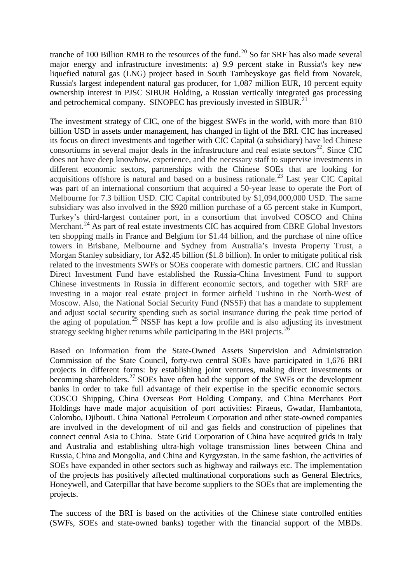tranche of 100 Billion RMB to the resources of the fund.<sup>[20](#page-4-6)</sup> So far SRF has also made several major energy and infrastructure investments: a) 9.9 percent stake in Russia\'s key new liquefied natural gas (LNG) project based in South Tambeyskoye gas field from Novatek, Russia's largest independent natural gas producer, for 1,087 million EUR, 10 percent equity ownership interest in PJSC SIBUR Holding, a Russian vertically integrated gas processing and petrochemical company. SINOPEC has previously invested in SIBUR.<sup>[21](#page-4-7)</sup>

The investment strategy of CIC, one of the biggest SWFs in the world, with more than 810 billion USD in assets under management, has changed in light of the BRI. CIC has increased its focus on direct investments and together with CIC Capital (a subsidiary) have led Chinese consortiums in several major deals in the infrastructure and real estate sectors $^{22}$  $^{22}$  $^{22}$ . Since CIC does not have deep knowhow, experience, and the necessary staff to supervise investments in different economic sectors, partnerships with the Chinese SOEs that are looking for acquisitions offshore is natural and based on a business rationale.<sup>[23](#page-4-9)</sup> Last year CIC Capital was part of an international consortium that acquired a 50-year lease to operate the Port of Melbourne for 7.3 billion USD. CIC Capital contributed by \$1,094,000,000 USD. The same subsidiary was also involved in the \$920 million purchase of a 65 percent stake in Kumport, Turkey's third-largest container port, in a consortium that involved COSCO and China Merchant.<sup>[24](#page-4-10)</sup> As part of real estate investments CIC has acquired from CBRE Global Investors ten shopping malls in France and Belgium for \$1.44 billion, and the purchase of nine office towers in Brisbane, Melbourne and Sydney from Australia's Investa Property Trust, a Morgan Stanley subsidiary, for A\$2.45 billion (\$1.8 billion). In order to mitigate political risk related to the investments SWFs or SOEs cooperate with domestic partners. CIC and Russian Direct Investment Fund have established the Russia-China Investment Fund to support Chinese investments in Russia in different economic sectors, and together with SRF are investing in a major real estate project in former airfield Tushino in the North-West of Moscow. Also, the National Social Security Fund (NSSF) that has a mandate to supplement and adjust social security spending such as social insurance during the peak time period of the aging of population.<sup>[25](#page-4-11)</sup> NSSF has kept a low profile and is also adjusting its investment strategy seeking higher returns while participating in the BRI projects.<sup>[26](#page-4-12)</sup>

Based on information from the State-Owned Assets Supervision and Administration Commission of the State Council, forty-two central SOEs have participated in 1,676 BRI projects in different forms: by establishing joint ventures, making direct investments or becoming shareholders.[27](#page-4-13) SOEs have often had the support of the SWFs or the development banks in order to take full advantage of their expertise in the specific economic sectors. COSCO Shipping, China Overseas Port Holding Company, and China Merchants Port Holdings have made major acquisition of port activities: Piraeus, Gwadar, Hambantota, Colombo, Djibouti. China National Petroleum Corporation and other state-owned companies are involved in the development of oil and gas fields and construction of pipelines that connect central Asia to China. State Grid Corporation of China have acquired grids in Italy and Australia and establishing ultra-high voltage transmission lines between China and Russia, China and Mongolia, and China and Kyrgyzstan. In the same fashion, the activities of SOEs have expanded in other sectors such as highway and railways etc. The implementation of the projects has positively affected multinational corporations such as General Electrics, Honeywell, and Caterpillar that have become suppliers to the SOEs that are implementing the projects.

The success of the BRI is based on the activities of the Chinese state controlled entities (SWFs, SOEs and state-owned banks) together with the financial support of the MBDs.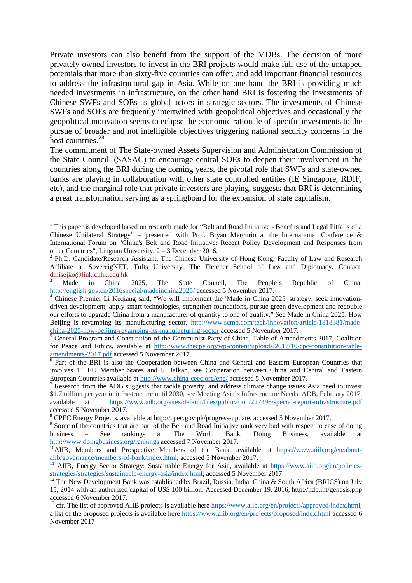Private investors can also benefit from the support of the MDBs. The decision of more privately-owned investors to invest in the BRI projects would make full use of the untapped potentials that more than sixty-five countries can offer, and add important financial resources to address the infrastructural gap in Asia. While on one hand the BRI is providing much needed investments in infrastructure, on the other hand BRI is fostering the investments of Chinese SWFs and SOEs as global actors in strategic sectors. The investments of Chinese SWFs and SOEs are frequently intertwined with geopolitical objectives and occasionally the geopolitical motivation seems to eclipse the economic rationale of specific investments to the pursue of broader and not intelligible objectives triggering national security concerns in the host countries.<sup>[28](#page-4-14)</sup>

The commitment of The State-owned Assets Supervision and Administration Commission of the State Council (SASAC) to encourage central SOEs to deepen their involvement in the countries along the BRI during the coming years, the pivotal role that SWFs and state-owned banks are playing in collaboration with other state controlled entities (IE Singapore, RDIF, etc), and the marginal role that private investors are playing, suggests that BRI is determining a great transformation serving as a springboard for the expansion of state capitalism.

<span id="page-3-0"></span><sup>&</sup>lt;sup>1</sup> This paper is developed based on research made for "Belt and Road Initiative - Benefits and Legal Pitfalls of a Chinese Unilateral Strategy" – presented with Prof. Bryan Mercurio at the International Conference & International Forum on "China's Belt and Road Initiative: Recent Policy Development and Responses from other Countries". Lingnan University.  $2 - 3$  December 2016.

<span id="page-3-1"></span> $2$  Ph.D. Candidate/Research Assistant, The Chinese University of Hong Kong, Faculty of Law and Research Affiliate at SovereigNET, Tufts University, The Fletcher School of Law and Diplomacy. Contact: [dinisejko@link.cuhk.edu.hk](mailto:dinisejko@link.cuhk.edu.hk)

<span id="page-3-2"></span><sup>&</sup>lt;sup>3</sup> Made in China 2025, The State Council, The People's Republic of China, <http://english.gov.cn/2016special/madeinchina2025/> accessed 5 November 2017.<br><sup>4</sup> Chinese Premier Li Keqiang said, "We will implement the 'Made in China 2025' strategy, seek innovation-

<span id="page-3-3"></span>driven development, apply smart technologies, strengthen foundations, pursue green development and redouble our efforts to upgrade China from a manufacturer of quantity to one of quality." See Made in China 2025: How Beijing is revamping its manufacturing sector, [http://www.scmp.com/tech/innovation/article/1818381/made](http://www.scmp.com/tech/innovation/article/1818381/made-china-2025-how-beijing-revamping-its-manufacturing-sector)[china-2025-how-beijing-revamping-its-manufacturing-sector](http://www.scmp.com/tech/innovation/article/1818381/made-china-2025-how-beijing-revamping-its-manufacturing-sector) accessed 5 November 2017.<br>
<sup>5</sup> General Program and Constitution of the Communist Party of China, Table of Amendments 2017, Coalition

<span id="page-3-4"></span>for Peace and Ethics, available at [http://www.thecpe.org/wp-content/uploads/2017/10/cpc-constitution-table](http://www.thecpe.org/wp-content/uploads/2017/10/cpc-constitution-table-amendments-2017.pdf)[amendments-2017.pdf](http://www.thecpe.org/wp-content/uploads/2017/10/cpc-constitution-table-amendments-2017.pdf) accessed 5 November 2017.<br><sup>6</sup> Part of the BRI is also the Cooperation between China and Central and Eastern European Countries that

<span id="page-3-5"></span>involves 11 EU Member States and 5 Balkan, see Cooperation between China and Central and Eastern European Countries available at  $\frac{http://www.china-ceec.org/eng/accessed 5$  November 2017.

<span id="page-3-6"></span>Research from the ADB suggests that tackle poverty, and address climate change issues Asia need to invest \$1.7 trillion per year in infrastructure until 2030, see Meeting Asia's Infrastructure Needs, ADB, February 2017, available at <https://www.adb.org/sites/default/files/publication/227496/special-report-infrastructure.pdf> accessed 5 November 2017.<br><sup>8</sup> CPEC Energy Projects, available at [http://cpec.gov.pk/progress-update,](http://cpec.gov.pk/progress-update) accessed 5 November 2017.<br><sup>9</sup> Some of the countries that are part of the Belt and Road Initiative rank very bad with resp

<span id="page-3-7"></span>

<span id="page-3-8"></span>business – See rankings at The World Bank, Doing Business, available at

<span id="page-3-9"></span><http://www.doingbusiness.org/rankings> accessed 7 November 2017.<br><sup>10</sup>AIIB, Members and Prospective Members of the Bank, available at https://www.aiib.org/en/about-<br>aiib/governance/members-of-bank/index.html, accessed 5 Nove

<span id="page-3-10"></span> $\overline{11}$  AIIB, Energy Sector Strategy: Sustainable Energy for Asia, available at [https://www.aiib.org/en/policies](https://www.aiib.org/en/policies-strategies/strategies/sustainable-energy-asia/index.html)[strategies/strategies/sustainable-energy-asia/index.html,](https://www.aiib.org/en/policies-strategies/strategies/sustainable-energy-asia/index.html) accessed 5 November 2017.<br><sup>12</sup> The New Development Bank was established by Brazil, Russia, India, China & South Africa (BRICS) on July

<span id="page-3-11"></span><sup>15, 2014</sup> with an authorized capital of US\$ 100 billion. Accessed December 19, 2016,<http://ndb.int/genesis.php> accessed 6 November 2017.<br><sup>13</sup> cfr. The list of approved AIIB projects is available here https://www.aiib.org/en/projects/approved/index.html,

<span id="page-3-12"></span>a list of the proposed projects is available here<https://www.aiib.org/en/projects/proposed/index.html> accessed 6 November 2017